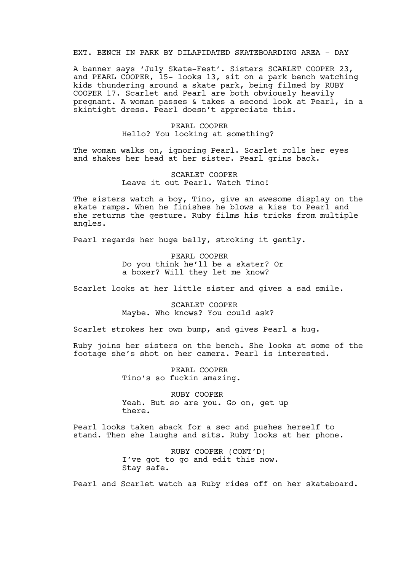## EXT. BENCH IN PARK BY DILAPIDATED SKATEBOARDING AREA - DAY

A banner says 'July Skate-Fest'. Sisters SCARLET COOPER 23, and PEARL COOPER, 15- looks 13, sit on a park bench watching kids thundering around a skate park, being filmed by RUBY COOPER 17. Scarlet and Pearl are both obviously heavily pregnant. A woman passes & takes a second look at Pearl, in a skintight dress. Pearl doesn't appreciate this.

## PEARL COOPER Hello? You looking at something?

The woman walks on, ignoring Pearl. Scarlet rolls her eyes and shakes her head at her sister. Pearl grins back.

## SCARLET COOPER Leave it out Pearl. Watch Tino!

The sisters watch a boy, Tino, give an awesome display on the skate ramps. When he finishes he blows a kiss to Pearl and she returns the gesture. Ruby films his tricks from multiple angles.

Pearl regards her huge belly, stroking it gently.

PEARL COOPER Do you think he'll be a skater? Or a boxer? Will they let me know?

Scarlet looks at her little sister and gives a sad smile.

SCARLET COOPER Maybe. Who knows? You could ask?

Scarlet strokes her own bump, and gives Pearl a hug.

Ruby joins her sisters on the bench. She looks at some of the footage she's shot on her camera. Pearl is interested.

> PEARL COOPER Tino's so fuckin amazing.

RUBY COOPER Yeah. But so are you. Go on, get up there.

Pearl looks taken aback for a sec and pushes herself to stand. Then she laughs and sits. Ruby looks at her phone.

> RUBY COOPER (CONT'D) I've got to go and edit this now. Stay safe.

Pearl and Scarlet watch as Ruby rides off on her skateboard.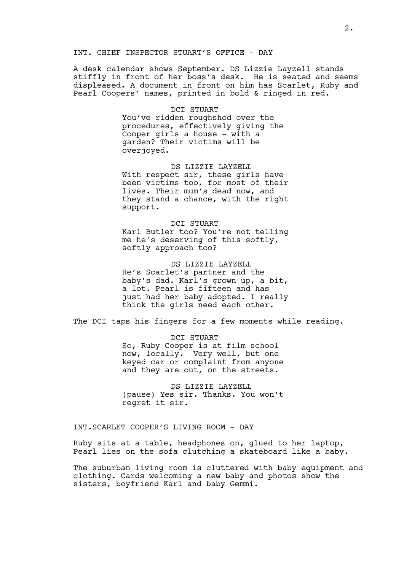#### INT. CHIEF INSPECTOR STUART'S OFFICE - DAY

A desk calendar shows September. DS Lizzie Layzell stands stiffly in front of her boss's desk. He is seated and seems displeased. A document in front on him has Scarlet, Ruby and Pearl Coopers' names, printed in bold & ringed in red.

### DCI STUART

You've ridden roughshod over the procedures, effectively giving the Cooper girls a house - with a garden? Their victims will be overjoyed.

DS LIZZIE LAYZELL With respect sir, these girls have been victims too, for most of their lives. Their mum's dead now, and they stand a chance, with the right support.

DCI STUART Karl Butler too? You're not telling me he's deserving of this softly, softly approach too?

DS LIZZIE LAYZELL He's Scarlet's partner and the baby's dad. Karl's grown up, a bit, a lot. Pearl is fifteen and has just had her baby adopted. I really think the girls need each other.

The DCI taps his fingers for a few moments while reading.

DCI STUART So, Ruby Cooper is at film school now, locally. Very well, but one keyed car or complaint from anyone and they are out, on the streets.

DS LIZZIE LAYZELL (pause) Yes sir. Thanks. You won't regret it sir.

INT.SCARLET COOPER'S LIVING ROOM - DAY

Ruby sits at a table, headphones on, glued to her laptop, Pearl lies on the sofa clutching a skateboard like a baby.

The suburban living room is cluttered with baby equipment and clothing. Cards welcoming a new baby and photos show the sisters, boyfriend Karl and baby Gemmi.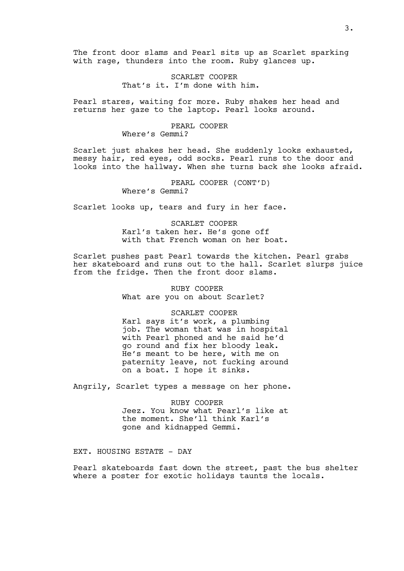The front door slams and Pearl sits up as Scarlet sparking with rage, thunders into the room. Ruby glances up.

> SCARLET COOPER That's it. I'm done with him.

Pearl stares, waiting for more. Ruby shakes her head and returns her gaze to the laptop. Pearl looks around.

### PEARL COOPER Where's Gemmi?

Scarlet just shakes her head. She suddenly looks exhausted, messy hair, red eyes, odd socks. Pearl runs to the door and looks into the hallway. When she turns back she looks afraid.

> PEARL COOPER (CONT'D) Where's Gemmi?

Scarlet looks up, tears and fury in her face.

SCARLET COOPER Karl's taken her. He's gone off with that French woman on her boat.

Scarlet pushes past Pearl towards the kitchen. Pearl grabs her skateboard and runs out to the hall. Scarlet slurps juice from the fridge. Then the front door slams.

> RUBY COOPER What are you on about Scarlet?

> > SCARLET COOPER

Karl says it's work, a plumbing job. The woman that was in hospital with Pearl phoned and he said he'd go round and fix her bloody leak. He's meant to be here, with me on paternity leave, not fucking around on a boat. I hope it sinks.

Angrily, Scarlet types a message on her phone.

RUBY COOPER Jeez. You know what Pearl's like at the moment. She'll think Karl's gone and kidnapped Gemmi.

EXT. HOUSING ESTATE - DAY

Pearl skateboards fast down the street, past the bus shelter where a poster for exotic holidays taunts the locals.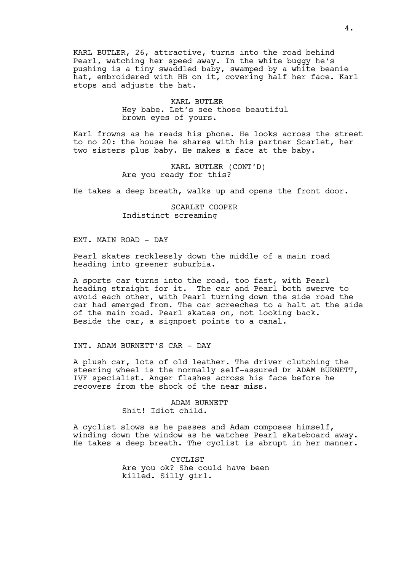KARL BUTLER, 26, attractive, turns into the road behind Pearl, watching her speed away. In the white buggy he's pushing is a tiny swaddled baby, swamped by a white beanie hat, embroidered with HB on it, covering half her face. Karl stops and adjusts the hat.

## KARL BUTLER Hey babe. Let's see those beautiful brown eyes of yours.

Karl frowns as he reads his phone. He looks across the street to no 20: the house he shares with his partner Scarlet, her two sisters plus baby. He makes a face at the baby.

> KARL BUTLER (CONT'D) Are you ready for this?

He takes a deep breath, walks up and opens the front door.

SCARLET COOPER Indistinct screaming

#### EXT. MAIN ROAD - DAY

Pearl skates recklessly down the middle of a main road heading into greener suburbia.

A sports car turns into the road, too fast, with Pearl heading straight for it. The car and Pearl both swerve to avoid each other, with Pearl turning down the side road the car had emerged from. The car screeches to a halt at the side of the main road. Pearl skates on, not looking back. Beside the car, a signpost points to a canal.

## INT. ADAM BURNETT'S CAR - DAY

A plush car, lots of old leather. The driver clutching the steering wheel is the normally self-assured Dr ADAM BURNETT, IVF specialist. Anger flashes across his face before he recovers from the shock of the near miss.

#### ADAM BURNETT Shit! Idiot child.

A cyclist slows as he passes and Adam composes himself, winding down the window as he watches Pearl skateboard away. He takes a deep breath. The cyclist is abrupt in her manner.

> CYCLIST Are you ok? She could have been killed. Silly girl.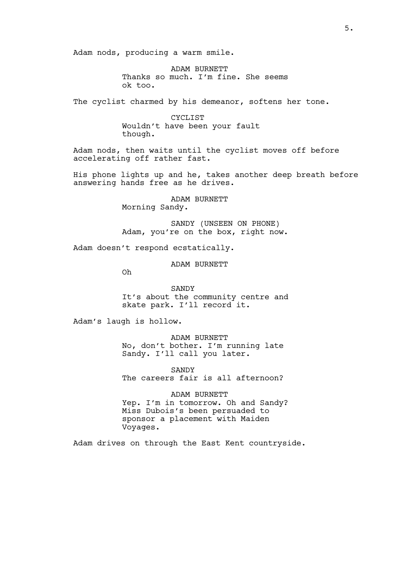Adam nods, producing a warm smile.

ADAM BURNETT Thanks so much. I'm fine. She seems ok too.

The cyclist charmed by his demeanor, softens her tone.

CYCLIST Wouldn't have been your fault though.

Adam nods, then waits until the cyclist moves off before accelerating off rather fast.

His phone lights up and he, takes another deep breath before answering hands free as he drives.

> ADAM BURNETT Morning Sandy.

SANDY (UNSEEN ON PHONE) Adam, you're on the box, right now.

Adam doesn't respond ecstatically.

ADAM BURNETT

Oh

SANDY It's about the community centre and skate park. I'll record it.

Adam's laugh is hollow.

ADAM BURNETT No, don't bother. I'm running late Sandy. I'll call you later.

SANDY The careers fair is all afternoon?

ADAM BURNETT Yep. I'm in tomorrow. Oh and Sandy? Miss Dubois's been persuaded to sponsor a placement with Maiden Voyages.

Adam drives on through the East Kent countryside.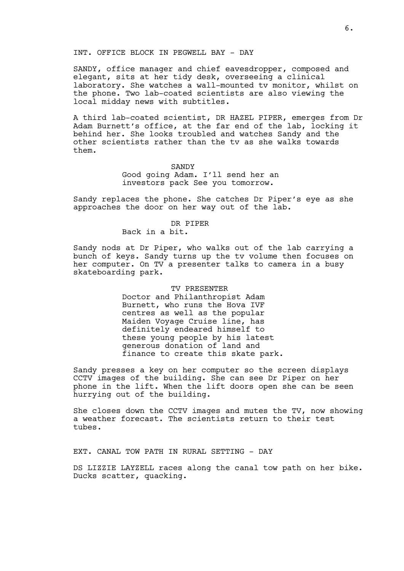#### INT. OFFICE BLOCK IN PEGWELL BAY - DAY

SANDY, office manager and chief eavesdropper, composed and elegant, sits at her tidy desk, overseeing a clinical laboratory. She watches a wall-mounted tv monitor, whilst on the phone. Two lab-coated scientists are also viewing the local midday news with subtitles.

A third lab-coated scientist, DR HAZEL PIPER, emerges from Dr Adam Burnett's office, at the far end of the lab, locking it behind her. She looks troubled and watches Sandy and the other scientists rather than the tv as she walks towards them.

#### **SANDY**

Good going Adam. I'll send her an investors pack See you tomorrow.

Sandy replaces the phone. She catches Dr Piper's eye as she approaches the door on her way out of the lab.

#### DR PIPER

Back in a bit.

Sandy nods at Dr Piper, who walks out of the lab carrying a bunch of keys. Sandy turns up the tv volume then focuses on her computer. On TV a presenter talks to camera in a busy skateboarding park.

#### TV PRESENTER

Doctor and Philanthropist Adam Burnett, who runs the Hova IVF centres as well as the popular Maiden Voyage Cruise line, has definitely endeared himself to these young people by his latest generous donation of land and finance to create this skate park.

Sandy presses a key on her computer so the screen displays CCTV images of the building. She can see Dr Piper on her phone in the lift. When the lift doors open she can be seen hurrying out of the building.

She closes down the CCTV images and mutes the TV, now showing a weather forecast. The scientists return to their test tubes.

EXT. CANAL TOW PATH IN RURAL SETTING - DAY

DS LIZZIE LAYZELL races along the canal tow path on her bike. Ducks scatter, quacking.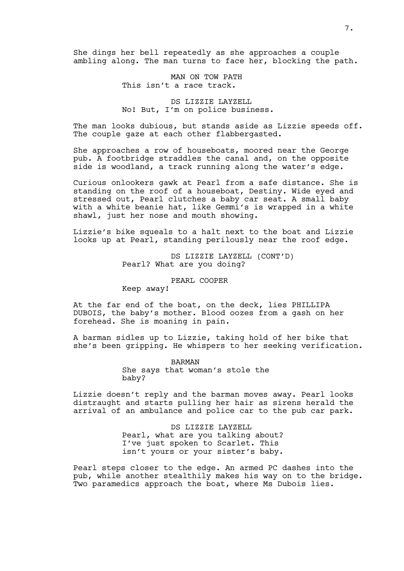She dings her bell repeatedly as she approaches a couple ambling along. The man turns to face her, blocking the path.

> MAN ON TOW PATH This isn't a race track.

DS LIZZIE LAYZELL No! But, I'm on police business.

The man looks dubious, but stands aside as Lizzie speeds off. The couple gaze at each other flabbergasted.

She approaches a row of houseboats, moored near the George pub. A footbridge straddles the canal and, on the opposite side is woodland, a track running along the water's edge.

Curious onlookers gawk at Pearl from a safe distance. She is standing on the roof of a houseboat, Destiny. Wide eyed and stressed out, Pearl clutches a baby car seat. A small baby with a white beanie hat, like Gemmi's is wrapped in a white shawl, just her nose and mouth showing.

Lizzie's bike squeals to a halt next to the boat and Lizzie looks up at Pearl, standing perilously near the roof edge.

> DS LIZZIE LAYZELL (CONT'D) Pearl? What are you doing?

> > PEARL COOPER

Keep away!

At the far end of the boat, on the deck, lies PHILLIPA DUBOIS, the baby's mother. Blood oozes from a gash on her forehead. She is moaning in pain.

A barman sidles up to Lizzie, taking hold of her bike that she's been gripping. He whispers to her seeking verification.

> BARMAN She says that woman's stole the baby?

Lizzie doesn't reply and the barman moves away. Pearl looks distraught and starts pulling her hair as sirens herald the arrival of an ambulance and police car to the pub car park.

> DS LIZZIE LAYZELL Pearl, what are you talking about? I've just spoken to Scarlet. This isn't yours or your sister's baby.

Pearl steps closer to the edge. An armed PC dashes into the pub, while another stealthily makes his way on to the bridge. Two paramedics approach the boat, where Ms Dubois lies.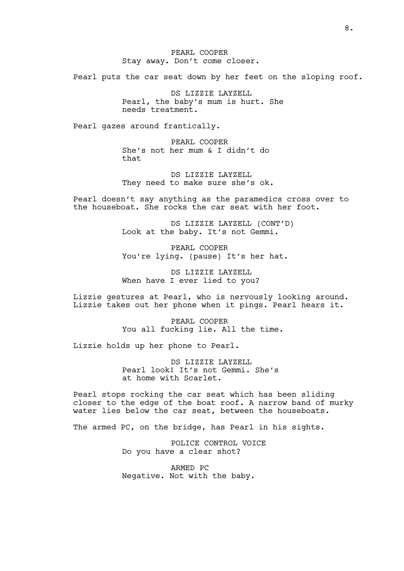PEARL COOPER Stay away. Don't come closer.

Pearl puts the car seat down by her feet on the sloping roof.

DS LIZZIE LAYZELL Pearl, the baby's mum is hurt. She needs treatment.

Pearl gazes around frantically.

PEARL COOPER She's not her mum & I didn't do that

DS LIZZIE LAYZELL They need to make sure she's ok.

Pearl doesn't say anything as the paramedics cross over to the houseboat. She rocks the car seat with her foot.

> DS LIZZIE LAYZELL (CONT'D) Look at the baby. It's not Gemmi.

PEARL COOPER You're lying. (pause) It's her hat.

DS LIZZIE LAYZELL When have I ever lied to you?

Lizzie gestures at Pearl, who is nervously looking around. Lizzie takes out her phone when it pings. Pearl hears it.

> PEARL COOPER You all fucking lie. All the time.

Lizzie holds up her phone to Pearl.

DS LIZZIE LAYZELL Pearl look! It's not Gemmi. She's at home with Scarlet.

Pearl stops rocking the car seat which has been sliding closer to the edge of the boat roof. A narrow band of murky water lies below the car seat, between the houseboats.

The armed PC, on the bridge, has Pearl in his sights.

POLICE CONTROL VOICE Do you have a clear shot?

ARMED PC Negative. Not with the baby.